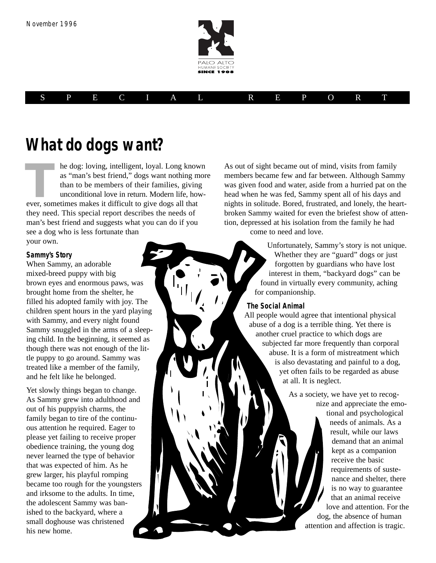

## SPECIAL REPORT

## **What do dogs want?**

he dog: loving, intelligent, loyal. Long known as "man's best friend," dogs want nothing more than to be members of their families, giving unconditional love in return. Modern life, howhe dog: loving, intelligent, loyal. Long know as "man's best friend," dogs want nothing n than to be members of their families, givin unconditional love in return. Modern life, ho ever, sometimes makes it difficult to give they need. This special report describes the needs of man's best friend and suggests what you can do if you see a dog who is less fortunate than your own.

#### **Sammy's Story**

When Sammy, an adorable mixed-breed puppy with big brown eyes and enormous paws, was brought home from the shelter, he filled his adopted family with joy. The children spent hours in the yard playing with Sammy, and every night found Sammy snuggled in the arms of a sleeping child. In the beginning, it seemed as though there was not enough of the little puppy to go around. Sammy was treated like a member of the family, and he felt like he belonged.

Yet slowly things began to change. As Sammy grew into adulthood and out of his puppyish charms, the family began to tire of the continuous attention he required. Eager to please yet failing to receive proper obedience training, the young dog never learned the type of behavior that was expected of him. As he grew larger, his playful romping became too rough for the youngsters and irksome to the adults. In time, the adolescent Sammy was banished to the backyard, where a small doghouse was christened his new home.

As out of sight became out of mind, visits from family members became few and far between. Although Sammy was given food and water, aside from a hurried pat on the head when he was fed, Sammy spent all of his days and nights in solitude. Bored, frustrated, and lonely, the heartbroken Sammy waited for even the briefest show of attention, depressed at his isolation from the family he had

come to need and love.

Unfortunately, Sammy's story is not unique. Whether they are "guard" dogs or just forgotten by guardians who have lost interest in them, "backyard dogs" can be found in virtually every community, aching for companionship.

#### **The Social Animal**

All people would agree that intentional physical abuse of a dog is a terrible thing. Yet there is another cruel practice to which dogs are subjected far more frequently than corporal abuse. It is a form of mistreatment which is also devastating and painful to a dog, yet often fails to be regarded as abuse at all. It is neglect.

> As a society, we have yet to recognize and appreciate the emo-

> > tional and psychological needs of animals. As a result, while our laws demand that an animal kept as a companion receive the basic requirements of sustenance and shelter, there is no way to guarantee that an animal receive love and attention. For the dog, the absence of human attention and affection is tragic.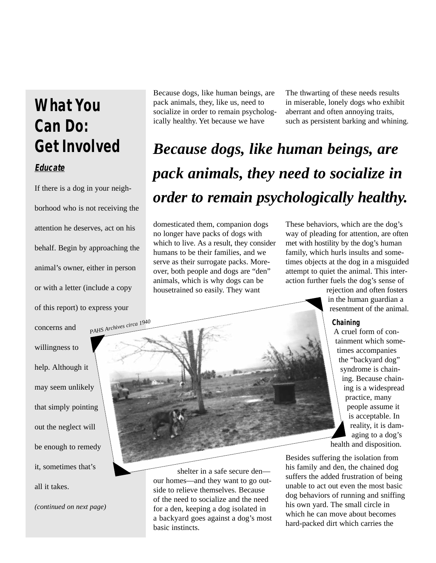## **What You Can Do: Get Involved**

## **Educate**

If there is a dog in your neighborhood who is not receiving the attention he deserves, act on his behalf. Begin by approaching the animal's owner, either in person or with a letter (include a copy of this report) to express your concerns and willingness to help. Although it may seem unlikely that simply pointing out the neglect will be enough to remedy it, sometimes that's all it takes. *PAHS Archives circa 1940*

*(continued on next page)*

Because dogs, like human beings, are pack animals, they, like us, need to socialize in order to remain psychologically healthy. Yet because we have

The thwarting of these needs results in miserable, lonely dogs who exhibit aberrant and often annoying traits, such as persistent barking and whining.

# *Because dogs, like human beings, are pack animals, they need to socialize in order to remain psychologically healthy.*

domesticated them, companion dogs no longer have packs of dogs with which to live. As a result, they consider humans to be their families, and we serve as their surrogate packs. Moreover, both people and dogs are "den" animals, which is why dogs can be housetrained so easily. They want

These behaviors, which are the dog's way of pleading for attention, are often met with hostility by the dog's human family, which hurls insults and sometimes objects at the dog in a misguided attempt to quiet the animal. This interaction further fuels the dog's sense of

> rejection and often fosters in the human guardian a resentment of the animal.

#### **Chaining**

A cruel form of containment which sometimes accompanies the "backyard dog" syndrome is chaining. Because chaining is a widespread practice, many people assume it is acceptable. In reality, it is damaging to a dog's health and disposition.

shelter in a safe secure den our homes—and they want to go outside to relieve themselves. Because of the need to socialize and the need for a den, keeping a dog isolated in a backyard goes against a dog's most basic instincts.

Besides suffering the isolation from his family and den, the chained dog suffers the added frustration of being unable to act out even the most basic dog behaviors of running and sniffing his own yard. The small circle in which he can move about becomes hard-packed dirt which carries the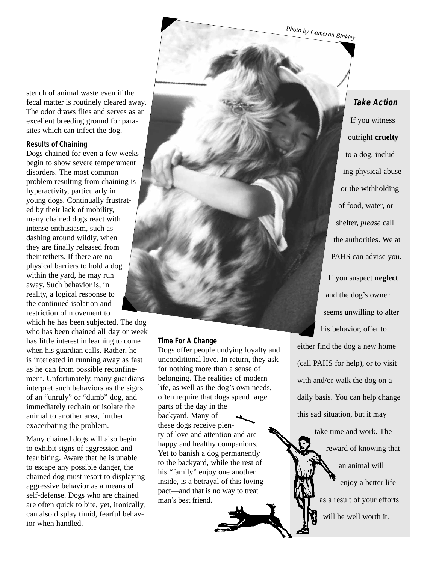*Photo by Cameron Binkley*

stench of animal waste even if the fecal matter is routinely cleared away. The odor draws flies and serves as an excellent breeding ground for parasites which can infect the dog.

#### **Results of Chaining**

Dogs chained for even a few weeks begin to show severe temperament disorders. The most common problem resulting from chaining is hyperactivity, particularly in young dogs. Continually frustrated by their lack of mobility, many chained dogs react with intense enthusiasm, such as dashing around wildly, when they are finally released from their tethers. If there are no physical barriers to hold a dog within the yard, he may run away. Such behavior is, in reality, a logical response to the continued isolation and restriction of movement to

which he has been subjected. The dog who has been chained all day or week has little interest in learning to come when his guardian calls. Rather, he is interested in running away as fast as he can from possible reconfinement. Unfortunately, many guardians interpret such behaviors as the signs of an "unruly" or "dumb" dog, and immediately rechain or isolate the animal to another area, further exacerbating the problem.

Many chained dogs will also begin to exhibit signs of aggression and fear biting. Aware that he is unable to escape any possible danger, the chained dog must resort to displaying aggressive behavior as a means of self-defense. Dogs who are chained are often quick to bite, yet, ironically, can also display timid, fearful behavior when handled.

#### **Time For A Change**

Dogs offer people undying loyalty and unconditional love. In return, they ask for nothing more than a sense of belonging. The realities of modern life, as well as the dog's own needs, often require that dogs spend large parts of the day in the backyard. Many of these dogs receive plenty of love and attention and are happy and healthy companions. Yet to banish a dog permanently to the backyard, while the rest of his "family" enjoy one another inside, is a betrayal of this loving pact—and that is no way to treat man's best friend.

### **Take Action**

If you witness outright **cruelty** to a dog, including physical abuse or the withholding of food, water, or shelter, *please* call the authorities. We at PAHS can advise you. If you suspect **neglect** and the dog's owner seems unwilling to alter his behavior, offer to either find the dog a new home

(call PAHS for help), or to visit with and/or walk the dog on a daily basis. You can help change this sad situation, but it may

> take time and work. The reward of knowing that an animal will enjoy a better life as a result of your efforts will be well worth it.